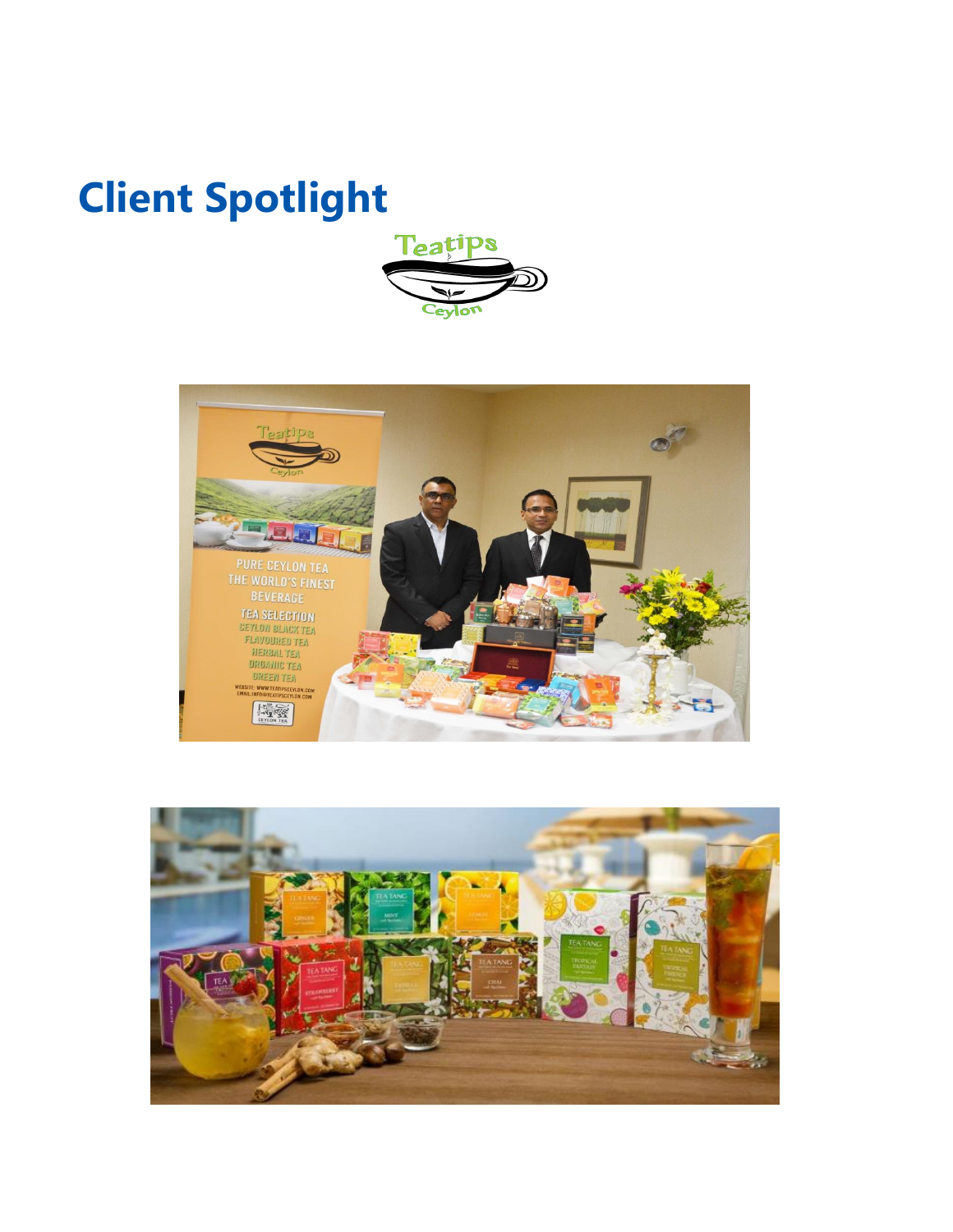## **Client Spotlight**





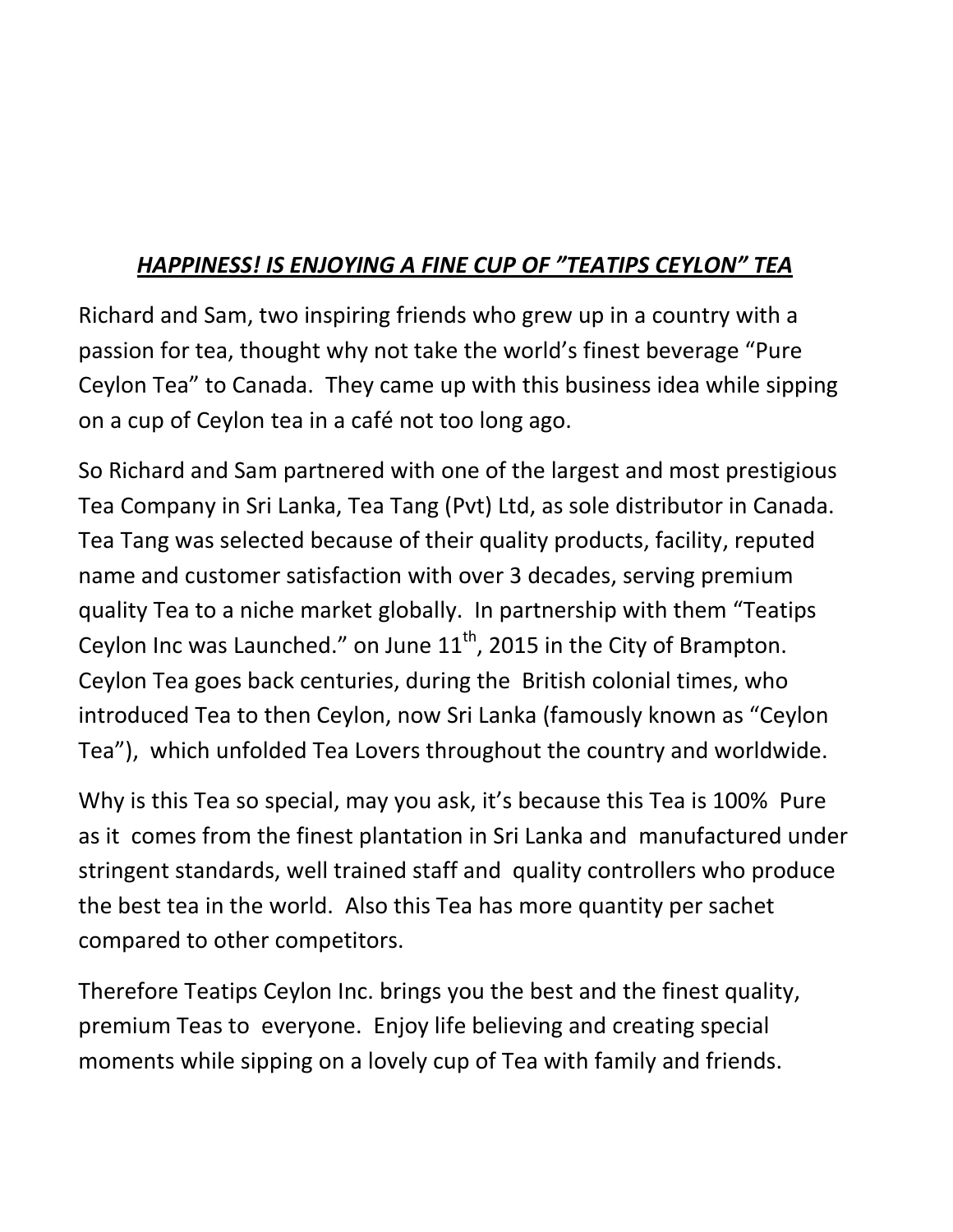## *HAPPINESS! IS ENJOYING A FINE CUP OF "TEATIPS CEYLON" TEA*

Richard and Sam, two inspiring friends who grew up in a country with a passion for tea, thought why not take the world's finest beverage "Pure Ceylon Tea" to Canada. They came up with this business idea while sipping on a cup of Ceylon tea in a café not too long ago.

So Richard and Sam partnered with one of the largest and most prestigious Tea Company in Sri Lanka, Tea Tang (Pvt) Ltd, as sole distributor in Canada. Tea Tang was selected because of their quality products, facility, reputed name and customer satisfaction with over 3 decades, serving premium quality Tea to a niche market globally. In partnership with them "Teatips Ceylon Inc was Launched." on June  $11<sup>th</sup>$ , 2015 in the City of Brampton. Ceylon Tea goes back centuries, during the British colonial times, who introduced Tea to then Ceylon, now Sri Lanka (famously known as "Ceylon Tea"), which unfolded Tea Lovers throughout the country and worldwide.

Why is this Tea so special, may you ask, it's because this Tea is 100% Pure as it comes from the finest plantation in Sri Lanka and manufactured under stringent standards, well trained staff and quality controllers who produce the best tea in the world. Also this Tea has more quantity per sachet compared to other competitors.

Therefore Teatips Ceylon Inc. brings you the best and the finest quality, premium Teas to everyone. Enjoy life believing and creating special moments while sipping on a lovely cup of Tea with family and friends.